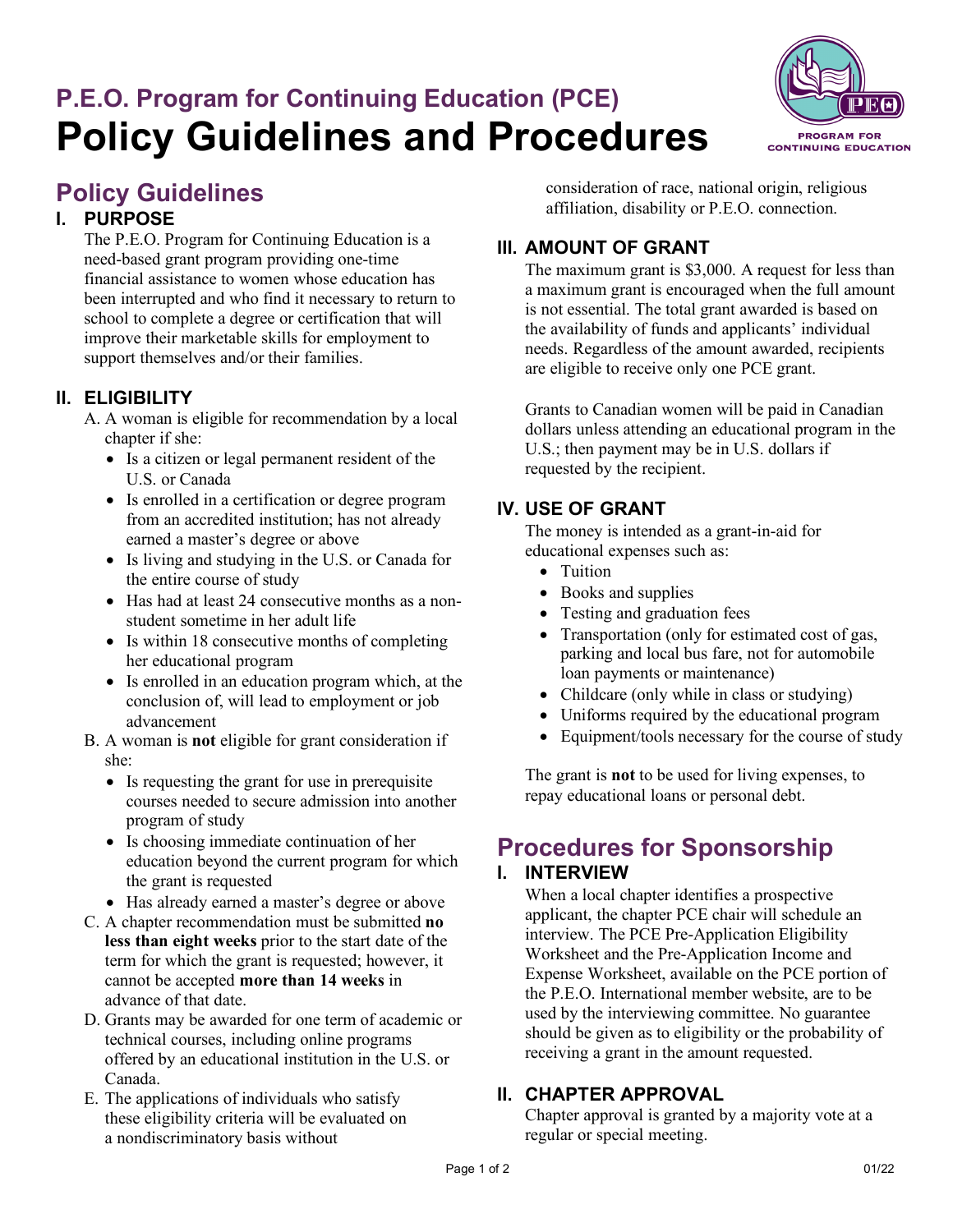# **P.E.O. Program for Continuing Education (PCE) Policy Guidelines and Procedures**

# **Policy Guidelines**

## **I. PURPOSE**

The P.E.O. Program for Continuing Education is a need-based grant program providing one-time financial assistance to women whose education has been interrupted and who find it necessary to return to school to complete a degree or certification that will improve their marketable skills for employment to support themselves and/or their families.

#### **II. ELIGIBILITY**

A. A woman is eligible for recommendation by a local chapter if she:

- Is a citizen or legal permanent resident of the U.S. or Canada
- Is enrolled in a certification or degree program from an accredited institution; has not already earned a master's degree or above
- Is living and studying in the U.S. or Canada for the entire course of study
- Has had at least 24 consecutive months as a nonstudent sometime in her adult life
- Is within 18 consecutive months of completing her educational program
- Is enrolled in an education program which, at the conclusion of, will lead to employment or job advancement
- B. A woman is **not** eligible for grant consideration if she:
	- Is requesting the grant for use in prerequisite courses needed to secure admission into another program of study
	- Is choosing immediate continuation of her education beyond the current program for which the grant is requested
	- Has already earned a master's degree or above
- C. A chapter recommendation must be submitted **no less than eight weeks** prior to the start date of the term for which the grant is requested; however, it cannot be accepted **more than 14 weeks** in advance of that date.
- D. Grants may be awarded for one term of academic or technical courses, including online programs offered by an educational institution in the U.S. or Canada.
- E. The applications of individuals who satisfy these eligibility criteria will be evaluated on a nondiscriminatory basis without

consideration of race, national origin, religious affiliation, disability or P.E.O. connection.

## **III. AMOUNT OF GRANT**

The maximum grant is \$3,000. A request for less than a maximum grant is encouraged when the full amount is not essential. The total grant awarded is based on the availability of funds and applicants' individual needs. Regardless of the amount awarded, recipients are eligible to receive only one PCE grant.

Grants to Canadian women will be paid in Canadian dollars unless attending an educational program in the U.S.; then payment may be in U.S. dollars if requested by the recipient.

#### **IV. USE OF GRANT**

The money is intended as a grant-in-aid for educational expenses such as:

- Tuition
- Books and supplies
- Testing and graduation fees
- Transportation (only for estimated cost of gas, parking and local bus fare, not for automobile loan payments or maintenance)
- Childcare (only while in class or studying)
- Uniforms required by the educational program
- Equipment/tools necessary for the course of study

The grant is **not** to be used for living expenses, to repay educational loans or personal debt.

# **Procedures for Sponsorship I. INTERVIEW**

When a local chapter identifies a prospective applicant, the chapter PCE chair will schedule an interview. The PCE Pre-Application Eligibility Worksheet and the Pre-Application Income and Expense Worksheet, available on the PCE portion of the P.E.O. International member website, are to be used by the interviewing committee. No guarantee should be given as to eligibility or the probability of receiving a grant in the amount requested.

#### **II. CHAPTER APPROVAL**

Chapter approval is granted by a majority vote at a regular or special meeting.